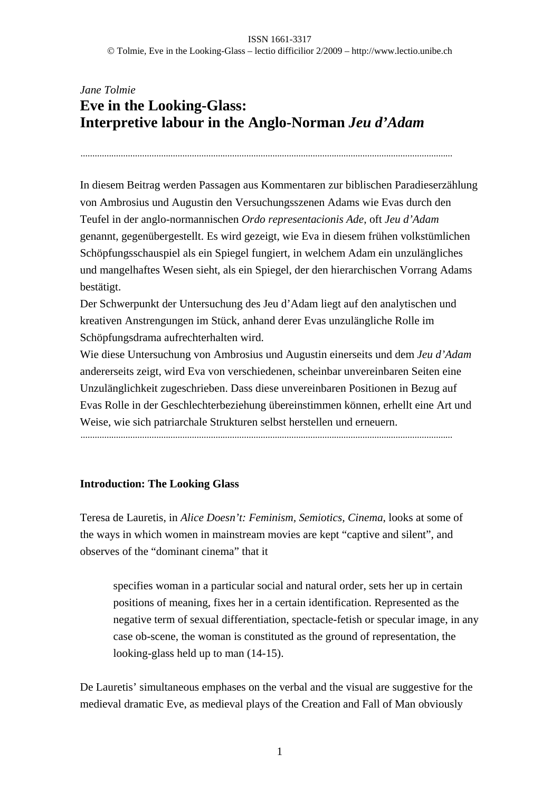# *Jane Tolmie* **Eve in the Looking-Glass: Interpretive labour in the Anglo-Norman** *Jeu d'Adam*

.............................................................................................................................................................

In diesem Beitrag werden Passagen aus Kommentaren zur biblischen Paradieserzählung von Ambrosius und Augustin den Versuchungsszenen Adams wie Evas durch den Teufel in der anglo-normannischen *Ordo representacionis Ade*, oft *Jeu d'Adam* genannt, gegenübergestellt. Es wird gezeigt, wie Eva in diesem frühen volkstümlichen Schöpfungsschauspiel als ein Spiegel fungiert, in welchem Adam ein unzulängliches und mangelhaftes Wesen sieht, als ein Spiegel, der den hierarchischen Vorrang Adams bestätigt.

Der Schwerpunkt der Untersuchung des Jeu d'Adam liegt auf den analytischen und kreativen Anstrengungen im Stück, anhand derer Evas unzulängliche Rolle im Schöpfungsdrama aufrechterhalten wird.

Wie diese Untersuchung von Ambrosius und Augustin einerseits und dem *Jeu d'Adam* andererseits zeigt, wird Eva von verschiedenen, scheinbar unvereinbaren Seiten eine Unzulänglichkeit zugeschrieben. Dass diese unvereinbaren Positionen in Bezug auf Evas Rolle in der Geschlechterbeziehung übereinstimmen können, erhellt eine Art und Weise, wie sich patriarchale Strukturen selbst herstellen und erneuern.

.............................................................................................................................................................

# **Introduction: The Looking Glass**

Teresa de Lauretis, in *Alice Doesn't: Feminism, Semiotics, Cinema*, looks at some of the ways in which women in mainstream movies are kept "captive and silent", and observes of the "dominant cinema" that it

specifies woman in a particular social and natural order, sets her up in certain positions of meaning, fixes her in a certain identification. Represented as the negative term of sexual differentiation, spectacle-fetish or specular image, in any case ob-scene, the woman is constituted as the ground of representation, the looking-glass held up to man  $(14-15)$ .

De Lauretis' simultaneous emphases on the verbal and the visual are suggestive for the medieval dramatic Eve, as medieval plays of the Creation and Fall of Man obviously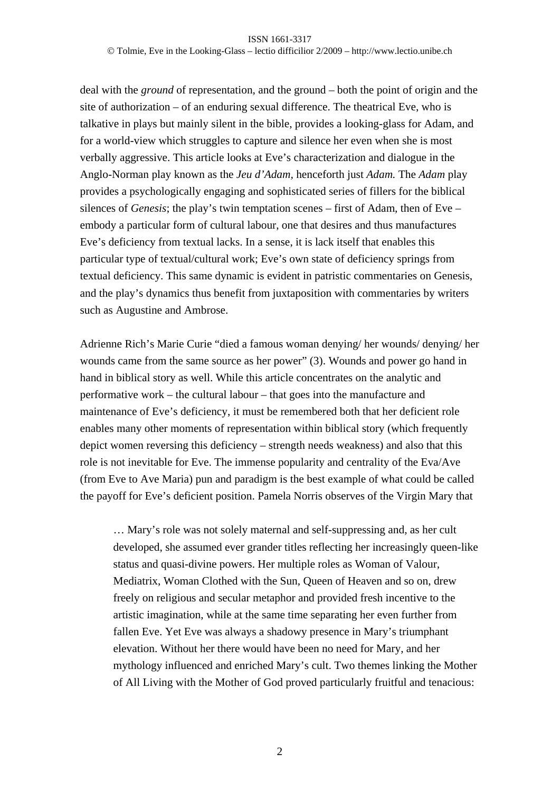### ISSN 1661-3317 Tolmie, Eve in the Looking-Glass – lectio difficilior 2/2009 – http://www.lectio.unibe.ch

deal with the *ground* of representation, and the ground – both the point of origin and the site of authorization – of an enduring sexual difference. The theatrical Eve, who is talkative in plays but mainly silent in the bible, provides a looking-glass for Adam, and for a world-view which struggles to capture and silence her even when she is most verbally aggressive. This article looks at Eve's characterization and dialogue in the Anglo-Norman play known as the *Jeu d'Adam,* henceforth just *Adam.* The *Adam* play provides a psychologically engaging and sophisticated series of fillers for the biblical silences of *Genesis*; the play's twin temptation scenes – first of Adam, then of Eve – embody a particular form of cultural labour, one that desires and thus manufactures Eve's deficiency from textual lacks. In a sense, it is lack itself that enables this particular type of textual/cultural work; Eve's own state of deficiency springs from textual deficiency. This same dynamic is evident in patristic commentaries on Genesis, and the play's dynamics thus benefit from juxtaposition with commentaries by writers such as Augustine and Ambrose.

Adrienne Rich's Marie Curie "died a famous woman denying/ her wounds/ denying/ her wounds came from the same source as her power" (3). Wounds and power go hand in hand in biblical story as well. While this article concentrates on the analytic and performative work – the cultural labour – that goes into the manufacture and maintenance of Eve's deficiency, it must be remembered both that her deficient role enables many other moments of representation within biblical story (which frequently depict women reversing this deficiency – strength needs weakness) and also that this role is not inevitable for Eve. The immense popularity and centrality of the Eva/Ave (from Eve to Ave Maria) pun and paradigm is the best example of what could be called the payoff for Eve's deficient position. Pamela Norris observes of the Virgin Mary that

… Mary's role was not solely maternal and self-suppressing and, as her cult developed, she assumed ever grander titles reflecting her increasingly queen-like status and quasi-divine powers. Her multiple roles as Woman of Valour, Mediatrix, Woman Clothed with the Sun, Queen of Heaven and so on, drew freely on religious and secular metaphor and provided fresh incentive to the artistic imagination, while at the same time separating her even further from fallen Eve. Yet Eve was always a shadowy presence in Mary's triumphant elevation. Without her there would have been no need for Mary, and her mythology influenced and enriched Mary's cult. Two themes linking the Mother of All Living with the Mother of God proved particularly fruitful and tenacious: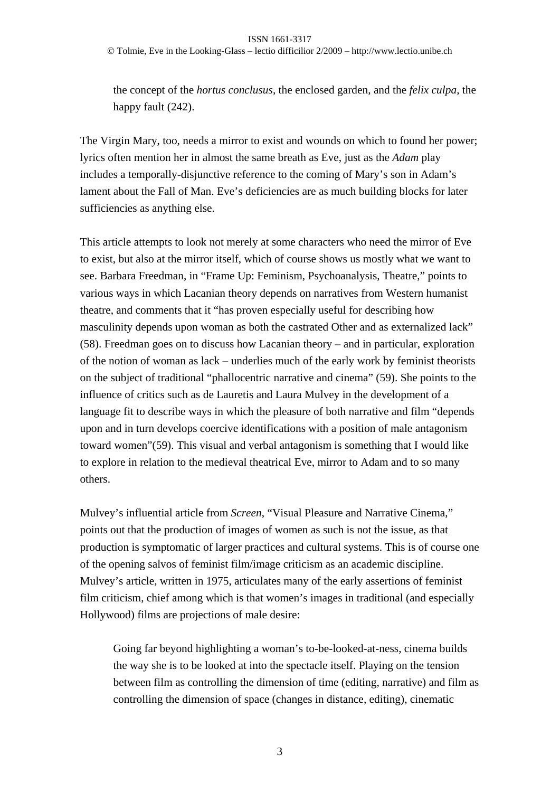Tolmie, Eve in the Looking-Glass – lectio difficilior 2/2009 – http://www.lectio.unibe.ch

the concept of the *hortus conclusus*, the enclosed garden, and the *felix culpa*, the happy fault  $(242)$ .

The Virgin Mary, too, needs a mirror to exist and wounds on which to found her power; lyrics often mention her in almost the same breath as Eve, just as the *Adam* play includes a temporally-disjunctive reference to the coming of Mary's son in Adam's lament about the Fall of Man. Eve's deficiencies are as much building blocks for later sufficiencies as anything else.

This article attempts to look not merely at some characters who need the mirror of Eve to exist, but also at the mirror itself, which of course shows us mostly what we want to see. Barbara Freedman, in "Frame Up: Feminism, Psychoanalysis, Theatre," points to various ways in which Lacanian theory depends on narratives from Western humanist theatre, and comments that it "has proven especially useful for describing how masculinity depends upon woman as both the castrated Other and as externalized lack" (58). Freedman goes on to discuss how Lacanian theory – and in particular, exploration of the notion of woman as lack – underlies much of the early work by feminist theorists on the subject of traditional "phallocentric narrative and cinema" (59). She points to the influence of critics such as de Lauretis and Laura Mulvey in the development of a language fit to describe ways in which the pleasure of both narrative and film "depends upon and in turn develops coercive identifications with a position of male antagonism toward women"(59). This visual and verbal antagonism is something that I would like to explore in relation to the medieval theatrical Eve, mirror to Adam and to so many others.

Mulvey's influential article from *Screen*, "Visual Pleasure and Narrative Cinema," points out that the production of images of women as such is not the issue, as that production is symptomatic of larger practices and cultural systems. This is of course one of the opening salvos of feminist film/image criticism as an academic discipline. Mulvey's article, written in 1975, articulates many of the early assertions of feminist film criticism, chief among which is that women's images in traditional (and especially Hollywood) films are projections of male desire:

Going far beyond highlighting a woman's to-be-looked-at-ness, cinema builds the way she is to be looked at into the spectacle itself. Playing on the tension between film as controlling the dimension of time (editing, narrative) and film as controlling the dimension of space (changes in distance, editing), cinematic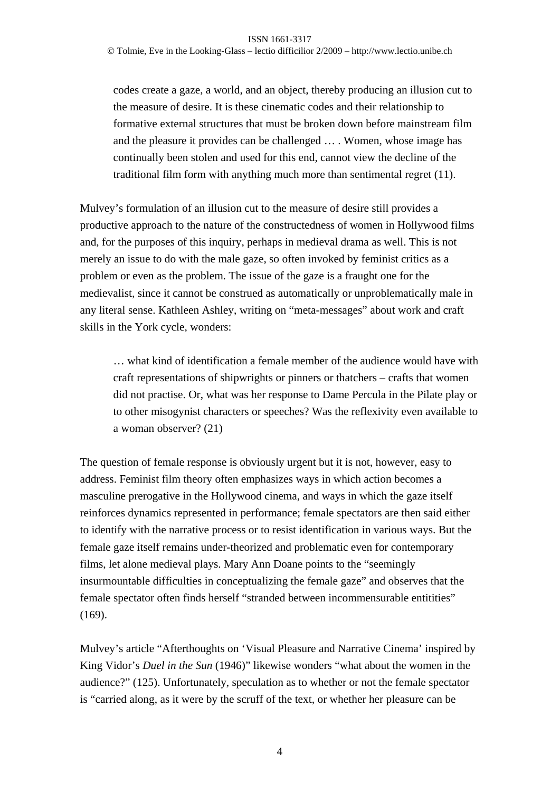Tolmie, Eve in the Looking-Glass – lectio difficilior 2/2009 – http://www.lectio.unibe.ch

codes create a gaze, a world, and an object, thereby producing an illusion cut to the measure of desire. It is these cinematic codes and their relationship to formative external structures that must be broken down before mainstream film and the pleasure it provides can be challenged … . Women, whose image has continually been stolen and used for this end, cannot view the decline of the traditional film form with anything much more than sentimental regret (11).

Mulvey's formulation of an illusion cut to the measure of desire still provides a productive approach to the nature of the constructedness of women in Hollywood films and, for the purposes of this inquiry, perhaps in medieval drama as well. This is not merely an issue to do with the male gaze, so often invoked by feminist critics as a problem or even as the problem. The issue of the gaze is a fraught one for the medievalist, since it cannot be construed as automatically or unproblematically male in any literal sense. Kathleen Ashley, writing on "meta-messages" about work and craft skills in the York cycle, wonders:

… what kind of identification a female member of the audience would have with craft representations of shipwrights or pinners or thatchers – crafts that women did not practise. Or, what was her response to Dame Percula in the Pilate play or to other misogynist characters or speeches? Was the reflexivity even available to a woman observer? (21)

The question of female response is obviously urgent but it is not, however, easy to address. Feminist film theory often emphasizes ways in which action becomes a masculine prerogative in the Hollywood cinema, and ways in which the gaze itself reinforces dynamics represented in performance; female spectators are then said either to identify with the narrative process or to resist identification in various ways. But the female gaze itself remains under-theorized and problematic even for contemporary films, let alone medieval plays. Mary Ann Doane points to the "seemingly insurmountable difficulties in conceptualizing the female gaze" and observes that the female spectator often finds herself "stranded between incommensurable entitities" (169).

Mulvey's article "Afterthoughts on 'Visual Pleasure and Narrative Cinema' inspired by King Vidor's *Duel in the Sun* (1946)" likewise wonders "what about the women in the audience?" (125). Unfortunately, speculation as to whether or not the female spectator is "carried along, as it were by the scruff of the text, or whether her pleasure can be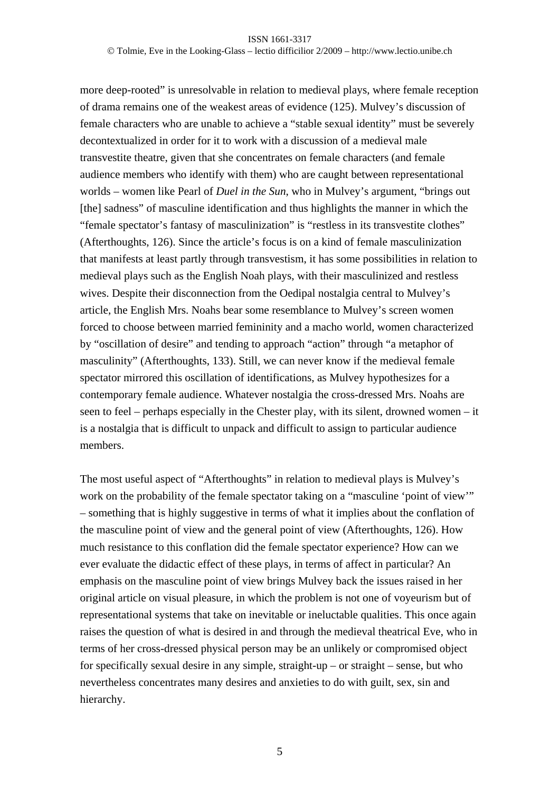Tolmie, Eve in the Looking-Glass – lectio difficilior 2/2009 – http://www.lectio.unibe.ch

more deep-rooted" is unresolvable in relation to medieval plays, where female reception of drama remains one of the weakest areas of evidence (125). Mulvey's discussion of female characters who are unable to achieve a "stable sexual identity" must be severely decontextualized in order for it to work with a discussion of a medieval male transvestite theatre, given that she concentrates on female characters (and female audience members who identify with them) who are caught between representational worlds – women like Pearl of *Duel in the Sun*, who in Mulvey's argument, "brings out [the] sadness" of masculine identification and thus highlights the manner in which the "female spectator's fantasy of masculinization" is "restless in its transvestite clothes" (Afterthoughts, 126). Since the article's focus is on a kind of female masculinization that manifests at least partly through transvestism, it has some possibilities in relation to medieval plays such as the English Noah plays, with their masculinized and restless wives. Despite their disconnection from the Oedipal nostalgia central to Mulvey's article, the English Mrs. Noahs bear some resemblance to Mulvey's screen women forced to choose between married femininity and a macho world, women characterized by "oscillation of desire" and tending to approach "action" through "a metaphor of masculinity" (Afterthoughts, 133). Still, we can never know if the medieval female spectator mirrored this oscillation of identifications, as Mulvey hypothesizes for a contemporary female audience. Whatever nostalgia the cross-dressed Mrs. Noahs are seen to feel – perhaps especially in the Chester play, with its silent, drowned women – it is a nostalgia that is difficult to unpack and difficult to assign to particular audience members.

The most useful aspect of "Afterthoughts" in relation to medieval plays is Mulvey's work on the probability of the female spectator taking on a "masculine 'point of view'" – something that is highly suggestive in terms of what it implies about the conflation of the masculine point of view and the general point of view (Afterthoughts, 126). How much resistance to this conflation did the female spectator experience? How can we ever evaluate the didactic effect of these plays, in terms of affect in particular? An emphasis on the masculine point of view brings Mulvey back the issues raised in her original article on visual pleasure, in which the problem is not one of voyeurism but of representational systems that take on inevitable or ineluctable qualities. This once again raises the question of what is desired in and through the medieval theatrical Eve, who in terms of her cross-dressed physical person may be an unlikely or compromised object for specifically sexual desire in any simple, straight-up – or straight – sense, but who nevertheless concentrates many desires and anxieties to do with guilt, sex, sin and hierarchy.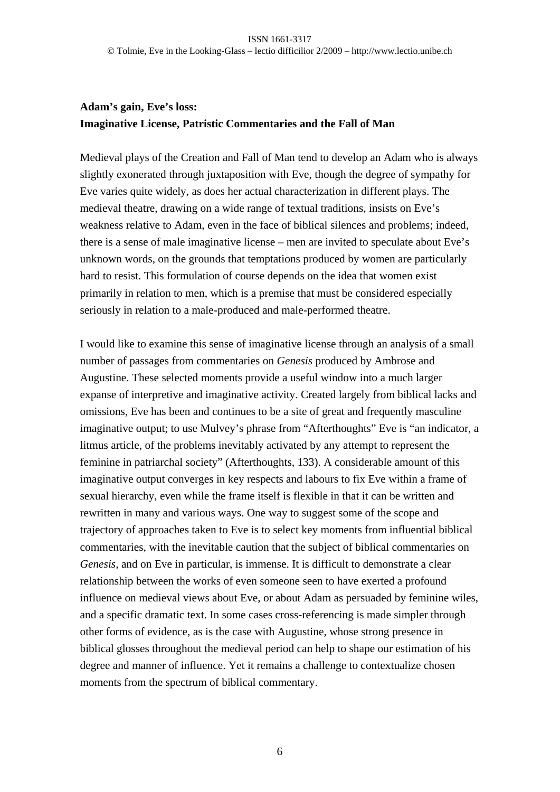# **Adam's gain, Eve's loss: Imaginative License, Patristic Commentaries and the Fall of Man**

Medieval plays of the Creation and Fall of Man tend to develop an Adam who is always slightly exonerated through juxtaposition with Eve, though the degree of sympathy for Eve varies quite widely, as does her actual characterization in different plays. The medieval theatre, drawing on a wide range of textual traditions, insists on Eve's weakness relative to Adam, even in the face of biblical silences and problems; indeed, there is a sense of male imaginative license – men are invited to speculate about Eve's unknown words, on the grounds that temptations produced by women are particularly hard to resist. This formulation of course depends on the idea that women exist primarily in relation to men, which is a premise that must be considered especially seriously in relation to a male-produced and male-performed theatre.

I would like to examine this sense of imaginative license through an analysis of a small number of passages from commentaries on *Genesis* produced by Ambrose and Augustine. These selected moments provide a useful window into a much larger expanse of interpretive and imaginative activity. Created largely from biblical lacks and omissions, Eve has been and continues to be a site of great and frequently masculine imaginative output; to use Mulvey's phrase from "Afterthoughts" Eve is "an indicator, a litmus article, of the problems inevitably activated by any attempt to represent the feminine in patriarchal society" (Afterthoughts, 133). A considerable amount of this imaginative output converges in key respects and labours to fix Eve within a frame of sexual hierarchy, even while the frame itself is flexible in that it can be written and rewritten in many and various ways. One way to suggest some of the scope and trajectory of approaches taken to Eve is to select key moments from influential biblical commentaries, with the inevitable caution that the subject of biblical commentaries on *Genesis*, and on Eve in particular, is immense. It is difficult to demonstrate a clear relationship between the works of even someone seen to have exerted a profound influence on medieval views about Eve, or about Adam as persuaded by feminine wiles, and a specific dramatic text. In some cases cross-referencing is made simpler through other forms of evidence, as is the case with Augustine, whose strong presence in biblical glosses throughout the medieval period can help to shape our estimation of his degree and manner of influence. Yet it remains a challenge to contextualize chosen moments from the spectrum of biblical commentary.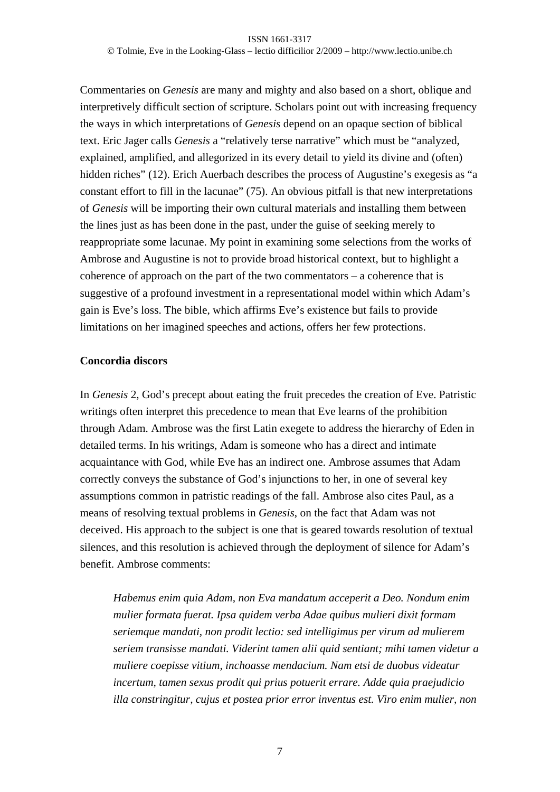Commentaries on *Genesis* are many and mighty and also based on a short, oblique and interpretively difficult section of scripture. Scholars point out with increasing frequency the ways in which interpretations of *Genesis* depend on an opaque section of biblical text. Eric Jager calls *Genesis* a "relatively terse narrative" which must be "analyzed, explained, amplified, and allegorized in its every detail to yield its divine and (often) hidden riches" (12). Erich Auerbach describes the process of Augustine's exegesis as "a constant effort to fill in the lacunae" (75). An obvious pitfall is that new interpretations of *Genesis* will be importing their own cultural materials and installing them between the lines just as has been done in the past, under the guise of seeking merely to reappropriate some lacunae. My point in examining some selections from the works of Ambrose and Augustine is not to provide broad historical context, but to highlight a coherence of approach on the part of the two commentators – a coherence that is suggestive of a profound investment in a representational model within which Adam's gain is Eve's loss. The bible, which affirms Eve's existence but fails to provide limitations on her imagined speeches and actions, offers her few protections.

## **Concordia discors**

In *Genesis* 2, God's precept about eating the fruit precedes the creation of Eve. Patristic writings often interpret this precedence to mean that Eve learns of the prohibition through Adam. Ambrose was the first Latin exegete to address the hierarchy of Eden in detailed terms. In his writings, Adam is someone who has a direct and intimate acquaintance with God, while Eve has an indirect one. Ambrose assumes that Adam correctly conveys the substance of God's injunctions to her, in one of several key assumptions common in patristic readings of the fall. Ambrose also cites Paul, as a means of resolving textual problems in *Genesis*, on the fact that Adam was not deceived. His approach to the subject is one that is geared towards resolution of textual silences, and this resolution is achieved through the deployment of silence for Adam's benefit. Ambrose comments:

*Habemus enim quia Adam, non Eva mandatum acceperit a Deo. Nondum enim mulier formata fuerat. Ipsa quidem verba Adae quibus mulieri dixit formam seriemque mandati, non prodit lectio: sed intelligimus per virum ad mulierem seriem transisse mandati. Viderint tamen alii quid sentiant; mihi tamen videtur a muliere coepisse vitium, inchoasse mendacium. Nam etsi de duobus videatur incertum, tamen sexus prodit qui prius potuerit errare. Adde quia praejudicio illa constringitur, cujus et postea prior error inventus est. Viro enim mulier, non*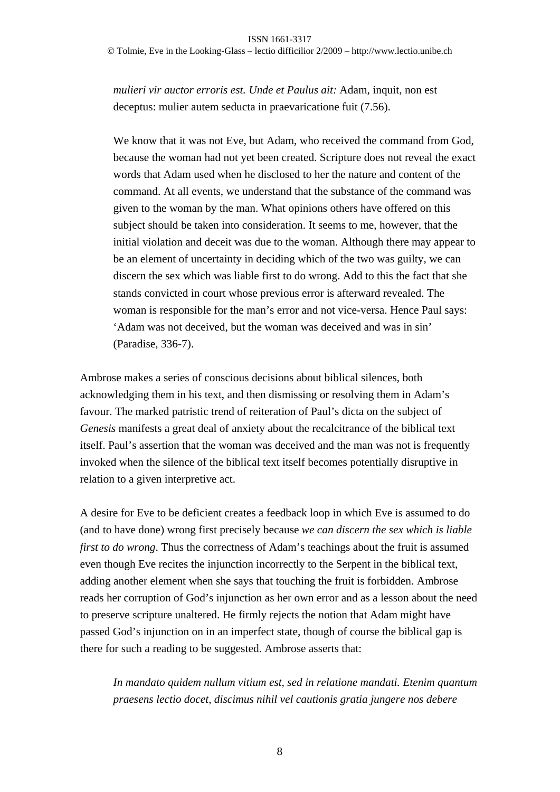Tolmie, Eve in the Looking-Glass – lectio difficilior 2/2009 – http://www.lectio.unibe.ch

*mulieri vir auctor erroris est. Unde et Paulus ait:* Adam, inquit, non est deceptus: mulier autem seducta in praevaricatione fuit (7.56).

We know that it was not Eve, but Adam, who received the command from God, because the woman had not yet been created. Scripture does not reveal the exact words that Adam used when he disclosed to her the nature and content of the command. At all events, we understand that the substance of the command was given to the woman by the man. What opinions others have offered on this subject should be taken into consideration. It seems to me, however, that the initial violation and deceit was due to the woman. Although there may appear to be an element of uncertainty in deciding which of the two was guilty, we can discern the sex which was liable first to do wrong. Add to this the fact that she stands convicted in court whose previous error is afterward revealed. The woman is responsible for the man's error and not vice-versa. Hence Paul says: 'Adam was not deceived, but the woman was deceived and was in sin' (Paradise, 336-7).

Ambrose makes a series of conscious decisions about biblical silences, both acknowledging them in his text, and then dismissing or resolving them in Adam's favour. The marked patristic trend of reiteration of Paul's dicta on the subject of *Genesis* manifests a great deal of anxiety about the recalcitrance of the biblical text itself. Paul's assertion that the woman was deceived and the man was not is frequently invoked when the silence of the biblical text itself becomes potentially disruptive in relation to a given interpretive act.

A desire for Eve to be deficient creates a feedback loop in which Eve is assumed to do (and to have done) wrong first precisely because *we can discern the sex which is liable first to do wrong*. Thus the correctness of Adam's teachings about the fruit is assumed even though Eve recites the injunction incorrectly to the Serpent in the biblical text, adding another element when she says that touching the fruit is forbidden. Ambrose reads her corruption of God's injunction as her own error and as a lesson about the need to preserve scripture unaltered. He firmly rejects the notion that Adam might have passed God's injunction on in an imperfect state, though of course the biblical gap is there for such a reading to be suggested. Ambrose asserts that:

*In mandato quidem nullum vitium est, sed in relatione mandati. Etenim quantum praesens lectio docet, discimus nihil vel cautionis gratia jungere nos debere*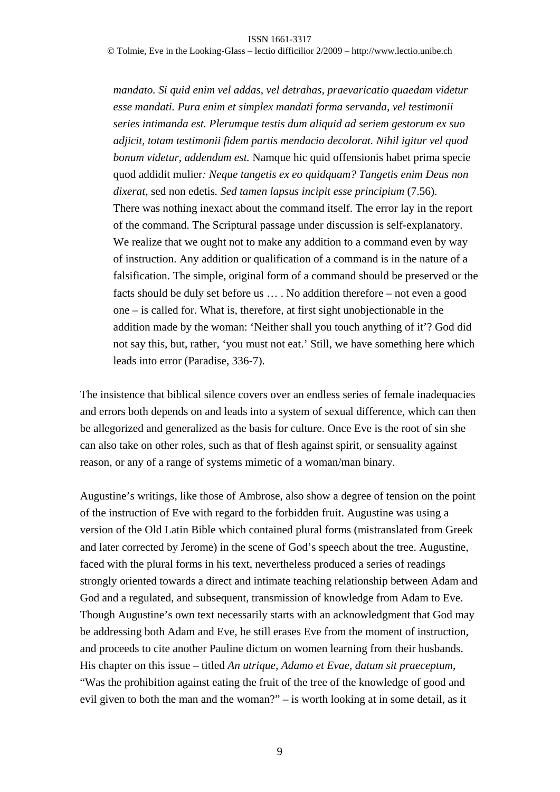Tolmie, Eve in the Looking-Glass – lectio difficilior 2/2009 – http://www.lectio.unibe.ch

*mandato. Si quid enim vel addas, vel detrahas, praevaricatio quaedam videtur esse mandati. Pura enim et simplex mandati forma servanda, vel testimonii series intimanda est. Plerumque testis dum aliquid ad seriem gestorum ex suo adjicit, totam testimonii fidem partis mendacio decolorat. Nihil igitur vel quod bonum videtur, addendum est.* Namque hic quid offensionis habet prima specie quod addidit mulier*: Neque tangetis ex eo quidquam? Tangetis enim Deus non dixerat,* sed non edetis*. Sed tamen lapsus incipit esse principium* (7.56). There was nothing inexact about the command itself. The error lay in the report of the command. The Scriptural passage under discussion is self-explanatory. We realize that we ought not to make any addition to a command even by way of instruction. Any addition or qualification of a command is in the nature of a falsification. The simple, original form of a command should be preserved or the facts should be duly set before us … . No addition therefore – not even a good one – is called for. What is, therefore, at first sight unobjectionable in the addition made by the woman: 'Neither shall you touch anything of it'? God did not say this, but, rather, 'you must not eat.' Still, we have something here which leads into error (Paradise, 336-7).

The insistence that biblical silence covers over an endless series of female inadequacies and errors both depends on and leads into a system of sexual difference, which can then be allegorized and generalized as the basis for culture. Once Eve is the root of sin she can also take on other roles, such as that of flesh against spirit, or sensuality against reason, or any of a range of systems mimetic of a woman/man binary.

Augustine's writings, like those of Ambrose, also show a degree of tension on the point of the instruction of Eve with regard to the forbidden fruit. Augustine was using a version of the Old Latin Bible which contained plural forms (mistranslated from Greek and later corrected by Jerome) in the scene of God's speech about the tree. Augustine, faced with the plural forms in his text, nevertheless produced a series of readings strongly oriented towards a direct and intimate teaching relationship between Adam and God and a regulated, and subsequent, transmission of knowledge from Adam to Eve. Though Augustine's own text necessarily starts with an acknowledgment that God may be addressing both Adam and Eve, he still erases Eve from the moment of instruction, and proceeds to cite another Pauline dictum on women learning from their husbands. His chapter on this issue – titled *An utrique, Adamo et Evae, datum sit praeceptum*, "Was the prohibition against eating the fruit of the tree of the knowledge of good and evil given to both the man and the woman?" – is worth looking at in some detail, as it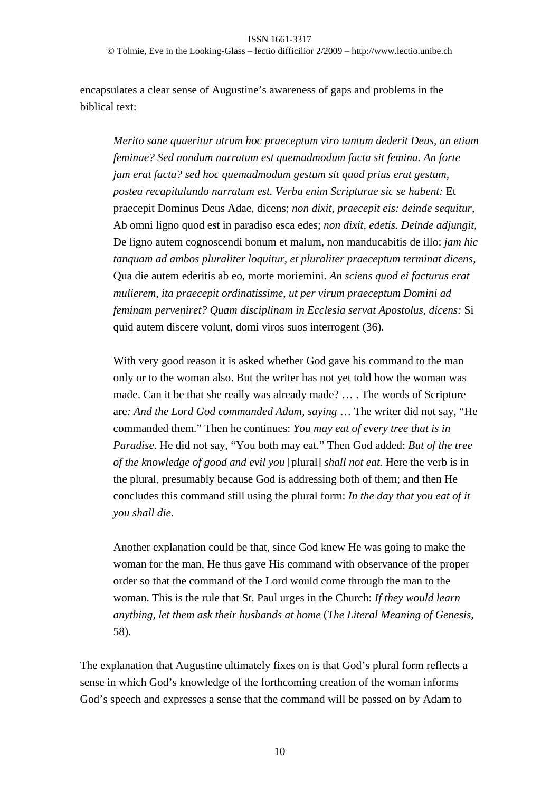Tolmie, Eve in the Looking-Glass – lectio difficilior 2/2009 – http://www.lectio.unibe.ch

encapsulates a clear sense of Augustine's awareness of gaps and problems in the biblical text:

*Merito sane quaeritur utrum hoc praeceptum viro tantum dederit Deus, an etiam feminae? Sed nondum narratum est quemadmodum facta sit femina. An forte jam erat facta? sed hoc quemadmodum gestum sit quod prius erat gestum, postea recapitulando narratum est. Verba enim Scripturae sic se habent:* Et praecepit Dominus Deus Adae, dicens; *non dixit, praecepit eis: deinde sequitur,*  Ab omni ligno quod est in paradiso esca edes; *non dixit, edetis. Deinde adjungit,*  De ligno autem cognoscendi bonum et malum, non manducabitis de illo: *jam hic tanquam ad ambos pluraliter loquitur, et pluraliter praeceptum terminat dicens,*  Qua die autem ederitis ab eo, morte moriemini. *An sciens quod ei facturus erat mulierem, ita praecepit ordinatissime, ut per virum praeceptum Domini ad feminam perveniret? Quam disciplinam in Ecclesia servat Apostolus, dicens:* Si quid autem discere volunt, domi viros suos interrogent (36).

With very good reason it is asked whether God gave his command to the man only or to the woman also. But the writer has not yet told how the woman was made. Can it be that she really was already made? … . The words of Scripture are*: And the Lord God commanded Adam, saying* … The writer did not say, "He commanded them." Then he continues: *You may eat of every tree that is in Paradise.* He did not say, "You both may eat." Then God added: *But of the tree of the knowledge of good and evil you* [plural] *shall not eat.* Here the verb is in the plural, presumably because God is addressing both of them; and then He concludes this command still using the plural form: *In the day that you eat of it you shall die.* 

Another explanation could be that, since God knew He was going to make the woman for the man, He thus gave His command with observance of the proper order so that the command of the Lord would come through the man to the woman. This is the rule that St. Paul urges in the Church: *If they would learn anything, let them ask their husbands at home* (*The Literal Meaning of Genesis,* 58)*.* 

The explanation that Augustine ultimately fixes on is that God's plural form reflects a sense in which God's knowledge of the forthcoming creation of the woman informs God's speech and expresses a sense that the command will be passed on by Adam to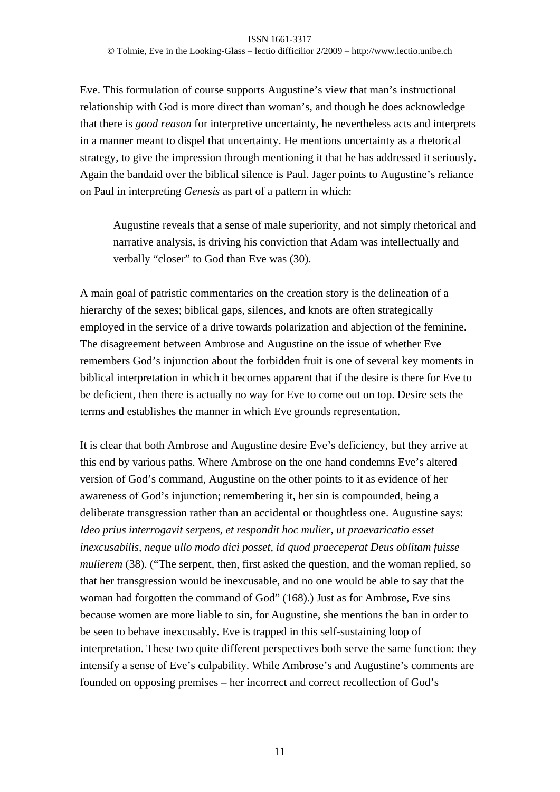Eve. This formulation of course supports Augustine's view that man's instructional relationship with God is more direct than woman's, and though he does acknowledge that there is *good reason* for interpretive uncertainty, he nevertheless acts and interprets in a manner meant to dispel that uncertainty. He mentions uncertainty as a rhetorical strategy, to give the impression through mentioning it that he has addressed it seriously. Again the bandaid over the biblical silence is Paul. Jager points to Augustine's reliance on Paul in interpreting *Genesis* as part of a pattern in which:

Augustine reveals that a sense of male superiority, and not simply rhetorical and narrative analysis, is driving his conviction that Adam was intellectually and verbally "closer" to God than Eve was (30).

A main goal of patristic commentaries on the creation story is the delineation of a hierarchy of the sexes; biblical gaps, silences, and knots are often strategically employed in the service of a drive towards polarization and abjection of the feminine. The disagreement between Ambrose and Augustine on the issue of whether Eve remembers God's injunction about the forbidden fruit is one of several key moments in biblical interpretation in which it becomes apparent that if the desire is there for Eve to be deficient, then there is actually no way for Eve to come out on top. Desire sets the terms and establishes the manner in which Eve grounds representation.

It is clear that both Ambrose and Augustine desire Eve's deficiency, but they arrive at this end by various paths. Where Ambrose on the one hand condemns Eve's altered version of God's command, Augustine on the other points to it as evidence of her awareness of God's injunction; remembering it, her sin is compounded, being a deliberate transgression rather than an accidental or thoughtless one. Augustine says: *Ideo prius interrogavit serpens, et respondit hoc mulier, ut praevaricatio esset inexcusabilis, neque ullo modo dici posset, id quod praeceperat Deus oblitam fuisse mulierem* (38). ("The serpent, then, first asked the question, and the woman replied, so that her transgression would be inexcusable, and no one would be able to say that the woman had forgotten the command of God" (168).) Just as for Ambrose, Eve sins because women are more liable to sin, for Augustine, she mentions the ban in order to be seen to behave inexcusably. Eve is trapped in this self-sustaining loop of interpretation. These two quite different perspectives both serve the same function: they intensify a sense of Eve's culpability. While Ambrose's and Augustine's comments are founded on opposing premises – her incorrect and correct recollection of God's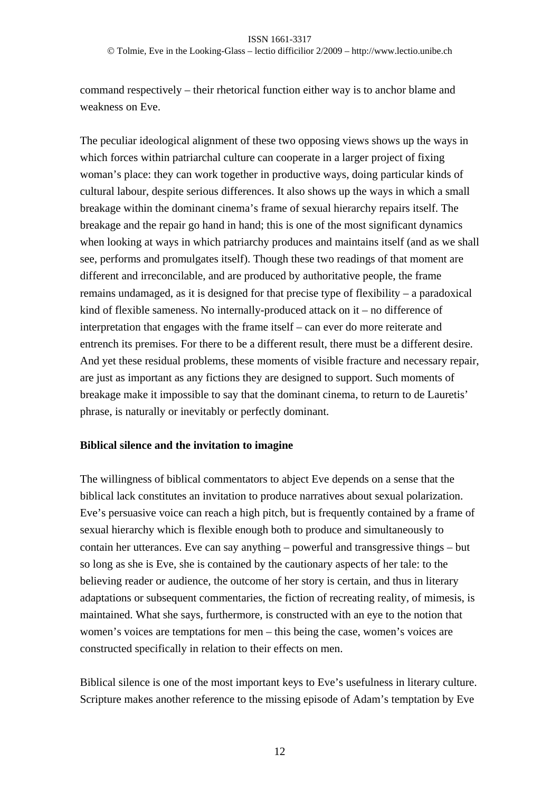Tolmie, Eve in the Looking-Glass – lectio difficilior 2/2009 – http://www.lectio.unibe.ch

command respectively – their rhetorical function either way is to anchor blame and weakness on Eve.

The peculiar ideological alignment of these two opposing views shows up the ways in which forces within patriarchal culture can cooperate in a larger project of fixing woman's place: they can work together in productive ways, doing particular kinds of cultural labour, despite serious differences. It also shows up the ways in which a small breakage within the dominant cinema's frame of sexual hierarchy repairs itself. The breakage and the repair go hand in hand; this is one of the most significant dynamics when looking at ways in which patriarchy produces and maintains itself (and as we shall see, performs and promulgates itself). Though these two readings of that moment are different and irreconcilable, and are produced by authoritative people, the frame remains undamaged, as it is designed for that precise type of flexibility – a paradoxical kind of flexible sameness. No internally-produced attack on it – no difference of interpretation that engages with the frame itself – can ever do more reiterate and entrench its premises. For there to be a different result, there must be a different desire. And yet these residual problems, these moments of visible fracture and necessary repair, are just as important as any fictions they are designed to support. Such moments of breakage make it impossible to say that the dominant cinema, to return to de Lauretis' phrase, is naturally or inevitably or perfectly dominant.

## **Biblical silence and the invitation to imagine**

The willingness of biblical commentators to abject Eve depends on a sense that the biblical lack constitutes an invitation to produce narratives about sexual polarization. Eve's persuasive voice can reach a high pitch, but is frequently contained by a frame of sexual hierarchy which is flexible enough both to produce and simultaneously to contain her utterances. Eve can say anything – powerful and transgressive things – but so long as she is Eve, she is contained by the cautionary aspects of her tale: to the believing reader or audience, the outcome of her story is certain, and thus in literary adaptations or subsequent commentaries, the fiction of recreating reality, of mimesis, is maintained. What she says, furthermore, is constructed with an eye to the notion that women's voices are temptations for men – this being the case, women's voices are constructed specifically in relation to their effects on men.

Biblical silence is one of the most important keys to Eve's usefulness in literary culture. Scripture makes another reference to the missing episode of Adam's temptation by Eve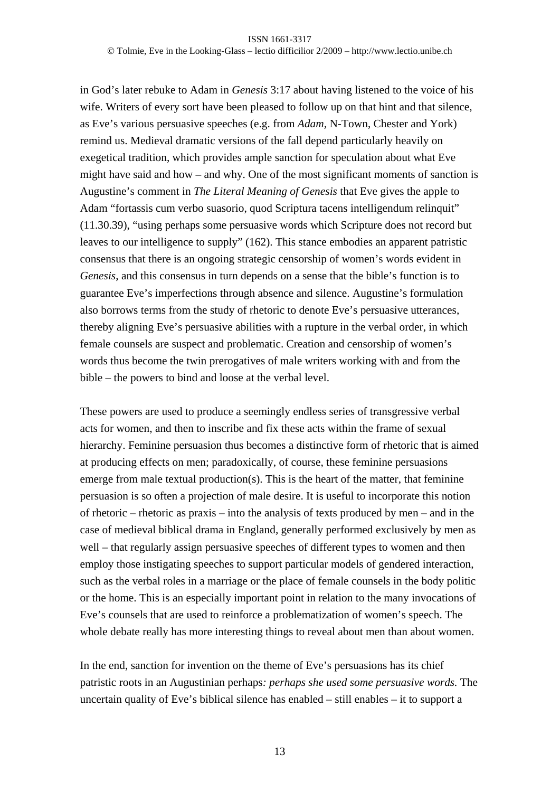### ISSN 1661-3317 Tolmie, Eve in the Looking-Glass – lectio difficilior 2/2009 – http://www.lectio.unibe.ch

in God's later rebuke to Adam in *Genesis* 3:17 about having listened to the voice of his wife. Writers of every sort have been pleased to follow up on that hint and that silence, as Eve's various persuasive speeches (e.g. from *Adam,* N-Town, Chester and York) remind us. Medieval dramatic versions of the fall depend particularly heavily on exegetical tradition, which provides ample sanction for speculation about what Eve might have said and how – and why. One of the most significant moments of sanction is Augustine's comment in *The Literal Meaning of Genesis* that Eve gives the apple to Adam "fortassis cum verbo suasorio, quod Scriptura tacens intelligendum relinquit" (11.30.39), "using perhaps some persuasive words which Scripture does not record but leaves to our intelligence to supply" (162). This stance embodies an apparent patristic consensus that there is an ongoing strategic censorship of women's words evident in *Genesis*, and this consensus in turn depends on a sense that the bible's function is to guarantee Eve's imperfections through absence and silence. Augustine's formulation also borrows terms from the study of rhetoric to denote Eve's persuasive utterances, thereby aligning Eve's persuasive abilities with a rupture in the verbal order, in which female counsels are suspect and problematic. Creation and censorship of women's words thus become the twin prerogatives of male writers working with and from the bible – the powers to bind and loose at the verbal level.

These powers are used to produce a seemingly endless series of transgressive verbal acts for women, and then to inscribe and fix these acts within the frame of sexual hierarchy. Feminine persuasion thus becomes a distinctive form of rhetoric that is aimed at producing effects on men; paradoxically, of course, these feminine persuasions emerge from male textual production(s). This is the heart of the matter, that feminine persuasion is so often a projection of male desire. It is useful to incorporate this notion of rhetoric – rhetoric as praxis – into the analysis of texts produced by men – and in the case of medieval biblical drama in England*,* generally performed exclusively by men as well – that regularly assign persuasive speeches of different types to women and then employ those instigating speeches to support particular models of gendered interaction, such as the verbal roles in a marriage or the place of female counsels in the body politic or the home. This is an especially important point in relation to the many invocations of Eve's counsels that are used to reinforce a problematization of women's speech. The whole debate really has more interesting things to reveal about men than about women.

In the end, sanction for invention on the theme of Eve's persuasions has its chief patristic roots in an Augustinian perhaps*: perhaps she used some persuasive words.* The uncertain quality of Eve's biblical silence has enabled – still enables – it to support a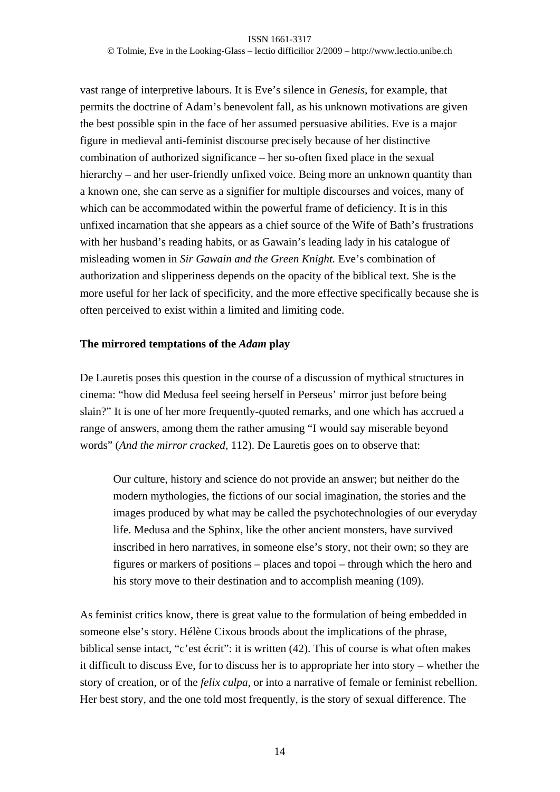vast range of interpretive labours. It is Eve's silence in *Genesis*, for example, that permits the doctrine of Adam's benevolent fall, as his unknown motivations are given the best possible spin in the face of her assumed persuasive abilities. Eve is a major figure in medieval anti-feminist discourse precisely because of her distinctive combination of authorized significance – her so-often fixed place in the sexual hierarchy – and her user-friendly unfixed voice. Being more an unknown quantity than a known one, she can serve as a signifier for multiple discourses and voices, many of which can be accommodated within the powerful frame of deficiency. It is in this unfixed incarnation that she appears as a chief source of the Wife of Bath's frustrations with her husband's reading habits, or as Gawain's leading lady in his catalogue of misleading women in *Sir Gawain and the Green Knight.* Eve's combination of authorization and slipperiness depends on the opacity of the biblical text. She is the more useful for her lack of specificity, and the more effective specifically because she is often perceived to exist within a limited and limiting code.

## **The mirrored temptations of the** *Adam* **play**

De Lauretis poses this question in the course of a discussion of mythical structures in cinema: "how did Medusa feel seeing herself in Perseus' mirror just before being slain?" It is one of her more frequently-quoted remarks, and one which has accrued a range of answers, among them the rather amusing "I would say miserable beyond words" (*And the mirror cracked*, 112). De Lauretis goes on to observe that:

Our culture, history and science do not provide an answer; but neither do the modern mythologies, the fictions of our social imagination, the stories and the images produced by what may be called the psychotechnologies of our everyday life. Medusa and the Sphinx, like the other ancient monsters, have survived inscribed in hero narratives, in someone else's story, not their own; so they are figures or markers of positions – places and topoi – through which the hero and his story move to their destination and to accomplish meaning (109).

As feminist critics know, there is great value to the formulation of being embedded in someone else's story. Hélène Cixous broods about the implications of the phrase, biblical sense intact, "c'est écrit": it is written (42). This of course is what often makes it difficult to discuss Eve, for to discuss her is to appropriate her into story – whether the story of creation, or of the *felix culpa,* or into a narrative of female or feminist rebellion. Her best story, and the one told most frequently, is the story of sexual difference. The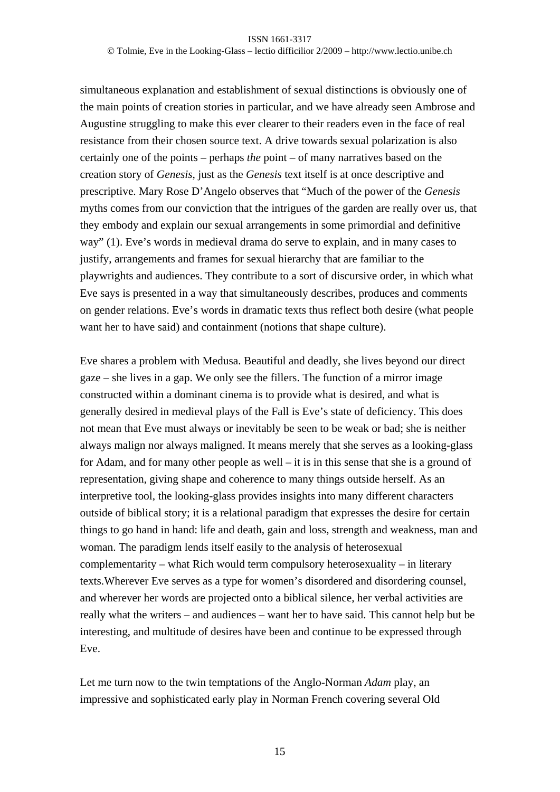Tolmie, Eve in the Looking-Glass – lectio difficilior 2/2009 – http://www.lectio.unibe.ch

simultaneous explanation and establishment of sexual distinctions is obviously one of the main points of creation stories in particular, and we have already seen Ambrose and Augustine struggling to make this ever clearer to their readers even in the face of real resistance from their chosen source text. A drive towards sexual polarization is also certainly one of the points – perhaps *the* point – of many narratives based on the creation story of *Genesis*, just as the *Genesis* text itself is at once descriptive and prescriptive. Mary Rose D'Angelo observes that "Much of the power of the *Genesis* myths comes from our conviction that the intrigues of the garden are really over us, that they embody and explain our sexual arrangements in some primordial and definitive way" (1). Eve's words in medieval drama do serve to explain, and in many cases to justify, arrangements and frames for sexual hierarchy that are familiar to the playwrights and audiences. They contribute to a sort of discursive order, in which what Eve says is presented in a way that simultaneously describes, produces and comments on gender relations. Eve's words in dramatic texts thus reflect both desire (what people want her to have said) and containment (notions that shape culture).

Eve shares a problem with Medusa. Beautiful and deadly, she lives beyond our direct gaze – she lives in a gap. We only see the fillers. The function of a mirror image constructed within a dominant cinema is to provide what is desired, and what is generally desired in medieval plays of the Fall is Eve's state of deficiency. This does not mean that Eve must always or inevitably be seen to be weak or bad; she is neither always malign nor always maligned. It means merely that she serves as a looking-glass for Adam, and for many other people as well – it is in this sense that she is a ground of representation*,* giving shape and coherence to many things outside herself. As an interpretive tool, the looking-glass provides insights into many different characters outside of biblical story; it is a relational paradigm that expresses the desire for certain things to go hand in hand: life and death, gain and loss, strength and weakness, man and woman. The paradigm lends itself easily to the analysis of heterosexual complementarity – what Rich would term compulsory heterosexuality – in literary texts.Wherever Eve serves as a type for women's disordered and disordering counsel, and wherever her words are projected onto a biblical silence, her verbal activities are really what the writers – and audiences – want her to have said. This cannot help but be interesting, and multitude of desires have been and continue to be expressed through Eve.

Let me turn now to the twin temptations of the Anglo-Norman *Adam* play, an impressive and sophisticated early play in Norman French covering several Old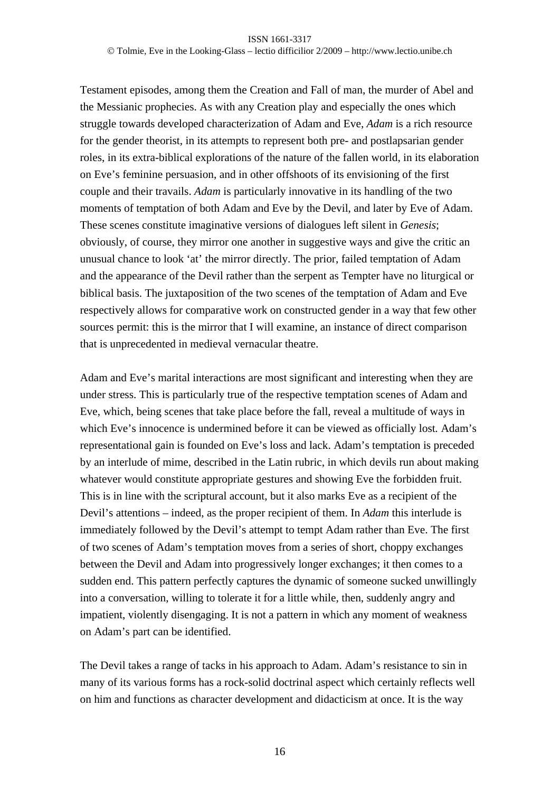Testament episodes, among them the Creation and Fall of man, the murder of Abel and the Messianic prophecies. As with any Creation play and especially the ones which struggle towards developed characterization of Adam and Eve, *Adam* is a rich resource for the gender theorist, in its attempts to represent both pre- and postlapsarian gender roles, in its extra-biblical explorations of the nature of the fallen world, in its elaboration on Eve's feminine persuasion, and in other offshoots of its envisioning of the first couple and their travails. *Adam* is particularly innovative in its handling of the two moments of temptation of both Adam and Eve by the Devil, and later by Eve of Adam. These scenes constitute imaginative versions of dialogues left silent in *Genesis*; obviously, of course, they mirror one another in suggestive ways and give the critic an unusual chance to look 'at' the mirror directly. The prior, failed temptation of Adam and the appearance of the Devil rather than the serpent as Tempter have no liturgical or biblical basis. The juxtaposition of the two scenes of the temptation of Adam and Eve respectively allows for comparative work on constructed gender in a way that few other sources permit: this is the mirror that I will examine, an instance of direct comparison that is unprecedented in medieval vernacular theatre.

Adam and Eve's marital interactions are most significant and interesting when they are under stress. This is particularly true of the respective temptation scenes of Adam and Eve, which, being scenes that take place before the fall, reveal a multitude of ways in which Eve's innocence is undermined before it can be viewed as officially lost*.* Adam's representational gain is founded on Eve's loss and lack. Adam's temptation is preceded by an interlude of mime, described in the Latin rubric, in which devils run about making whatever would constitute appropriate gestures and showing Eve the forbidden fruit. This is in line with the scriptural account, but it also marks Eve as a recipient of the Devil's attentions – indeed, as the proper recipient of them. In *Adam* this interlude is immediately followed by the Devil's attempt to tempt Adam rather than Eve. The first of two scenes of Adam's temptation moves from a series of short, choppy exchanges between the Devil and Adam into progressively longer exchanges; it then comes to a sudden end. This pattern perfectly captures the dynamic of someone sucked unwillingly into a conversation, willing to tolerate it for a little while, then, suddenly angry and impatient, violently disengaging. It is not a pattern in which any moment of weakness on Adam's part can be identified.

The Devil takes a range of tacks in his approach to Adam. Adam's resistance to sin in many of its various forms has a rock-solid doctrinal aspect which certainly reflects well on him and functions as character development and didacticism at once. It is the way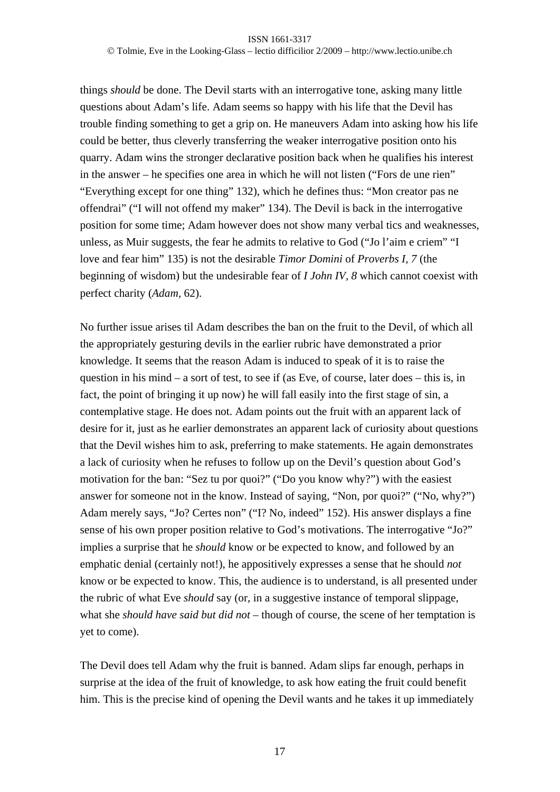things *should* be done. The Devil starts with an interrogative tone, asking many little questions about Adam's life. Adam seems so happy with his life that the Devil has trouble finding something to get a grip on. He maneuvers Adam into asking how his life could be better, thus cleverly transferring the weaker interrogative position onto his quarry. Adam wins the stronger declarative position back when he qualifies his interest in the answer – he specifies one area in which he will not listen ("Fors de une rien" "Everything except for one thing" 132), which he defines thus: "Mon creator pas ne offendrai" ("I will not offend my maker" 134). The Devil is back in the interrogative position for some time; Adam however does not show many verbal tics and weaknesses, unless, as Muir suggests, the fear he admits to relative to God ("Jo l'aim e criem" "I love and fear him" 135) is not the desirable *Timor Domini* of *Proverbs I, 7* (the beginning of wisdom) but the undesirable fear of *I John IV, 8* which cannot coexist with perfect charity (*Adam,* 62).

No further issue arises til Adam describes the ban on the fruit to the Devil, of which all the appropriately gesturing devils in the earlier rubric have demonstrated a prior knowledge. It seems that the reason Adam is induced to speak of it is to raise the question in his mind – a sort of test, to see if (as Eve, of course, later does – this is, in fact, the point of bringing it up now) he will fall easily into the first stage of sin, a contemplative stage. He does not. Adam points out the fruit with an apparent lack of desire for it, just as he earlier demonstrates an apparent lack of curiosity about questions that the Devil wishes him to ask, preferring to make statements. He again demonstrates a lack of curiosity when he refuses to follow up on the Devil's question about God's motivation for the ban: "Sez tu por quoi?" ("Do you know why?") with the easiest answer for someone not in the know. Instead of saying, "Non, por quoi?" ("No, why?") Adam merely says, "Jo? Certes non" ("I? No, indeed" 152). His answer displays a fine sense of his own proper position relative to God's motivations. The interrogative "Jo?" implies a surprise that he *should* know or be expected to know, and followed by an emphatic denial (certainly not!), he appositively expresses a sense that he should *not* know or be expected to know. This, the audience is to understand, is all presented under the rubric of what Eve *should* say (or, in a suggestive instance of temporal slippage, what she *should have said but did not –* though of course, the scene of her temptation is yet to come).

The Devil does tell Adam why the fruit is banned. Adam slips far enough, perhaps in surprise at the idea of the fruit of knowledge, to ask how eating the fruit could benefit him. This is the precise kind of opening the Devil wants and he takes it up immediately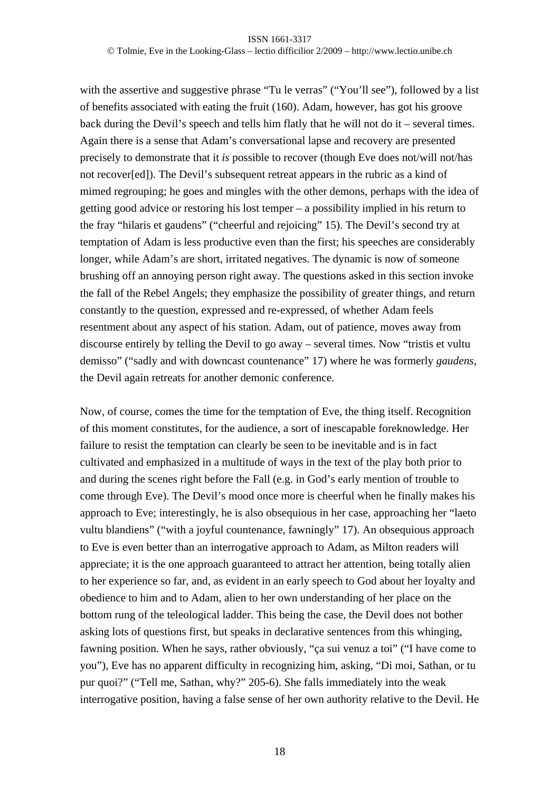with the assertive and suggestive phrase "Tu le verras" ("You'll see"), followed by a list of benefits associated with eating the fruit (160). Adam, however, has got his groove back during the Devil's speech and tells him flatly that he will not do it – several times. Again there is a sense that Adam's conversational lapse and recovery are presented precisely to demonstrate that it *is* possible to recover (though Eve does not/will not/has not recover[ed]). The Devil's subsequent retreat appears in the rubric as a kind of mimed regrouping; he goes and mingles with the other demons, perhaps with the idea of getting good advice or restoring his lost temper – a possibility implied in his return to the fray "hilaris et gaudens" ("cheerful and rejoicing" 15). The Devil's second try at temptation of Adam is less productive even than the first; his speeches are considerably longer, while Adam's are short, irritated negatives. The dynamic is now of someone brushing off an annoying person right away. The questions asked in this section invoke the fall of the Rebel Angels; they emphasize the possibility of greater things, and return constantly to the question, expressed and re-expressed, of whether Adam feels resentment about any aspect of his station. Adam, out of patience, moves away from discourse entirely by telling the Devil to go away – several times. Now "tristis et vultu demisso" ("sadly and with downcast countenance" 17) where he was formerly *gaudens*, the Devil again retreats for another demonic conference.

Now, of course, comes the time for the temptation of Eve, the thing itself. Recognition of this moment constitutes, for the audience, a sort of inescapable foreknowledge. Her failure to resist the temptation can clearly be seen to be inevitable and is in fact cultivated and emphasized in a multitude of ways in the text of the play both prior to and during the scenes right before the Fall (e.g. in God's early mention of trouble to come through Eve). The Devil's mood once more is cheerful when he finally makes his approach to Eve; interestingly, he is also obsequious in her case, approaching her "laeto vultu blandiens" ("with a joyful countenance, fawningly" 17). An obsequious approach to Eve is even better than an interrogative approach to Adam, as Milton readers will appreciate; it is the one approach guaranteed to attract her attention, being totally alien to her experience so far, and, as evident in an early speech to God about her loyalty and obedience to him and to Adam, alien to her own understanding of her place on the bottom rung of the teleological ladder. This being the case, the Devil does not bother asking lots of questions first, but speaks in declarative sentences from this whinging, fawning position. When he says, rather obviously, "ça sui venuz a toi" ("I have come to you"), Eve has no apparent difficulty in recognizing him, asking, "Di moi, Sathan, or tu pur quoi?" ("Tell me, Sathan, why?" 205-6). She falls immediately into the weak interrogative position, having a false sense of her own authority relative to the Devil. He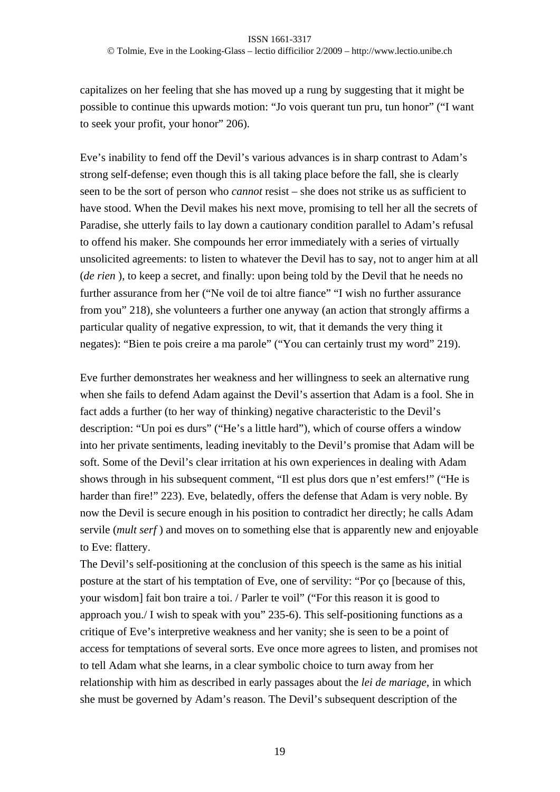Tolmie, Eve in the Looking-Glass – lectio difficilior 2/2009 – http://www.lectio.unibe.ch

capitalizes on her feeling that she has moved up a rung by suggesting that it might be possible to continue this upwards motion: "Jo vois querant tun pru, tun honor" ("I want to seek your profit, your honor" 206).

Eve's inability to fend off the Devil's various advances is in sharp contrast to Adam's strong self-defense; even though this is all taking place before the fall, she is clearly seen to be the sort of person who *cannot* resist – she does not strike us as sufficient to have stood. When the Devil makes his next move, promising to tell her all the secrets of Paradise, she utterly fails to lay down a cautionary condition parallel to Adam's refusal to offend his maker. She compounds her error immediately with a series of virtually unsolicited agreements: to listen to whatever the Devil has to say, not to anger him at all (*de rien* ), to keep a secret, and finally: upon being told by the Devil that he needs no further assurance from her ("Ne voil de toi altre fiance" "I wish no further assurance from you" 218), she volunteers a further one anyway (an action that strongly affirms a particular quality of negative expression, to wit, that it demands the very thing it negates): "Bien te pois creire a ma parole" ("You can certainly trust my word" 219).

Eve further demonstrates her weakness and her willingness to seek an alternative rung when she fails to defend Adam against the Devil's assertion that Adam is a fool. She in fact adds a further (to her way of thinking) negative characteristic to the Devil's description: "Un poi es durs" ("He's a little hard"), which of course offers a window into her private sentiments, leading inevitably to the Devil's promise that Adam will be soft. Some of the Devil's clear irritation at his own experiences in dealing with Adam shows through in his subsequent comment, "Il est plus dors que n'est emfers!" ("He is harder than fire!" 223). Eve, belatedly, offers the defense that Adam is very noble. By now the Devil is secure enough in his position to contradict her directly; he calls Adam servile (*mult serf* ) and moves on to something else that is apparently new and enjoyable to Eve: flattery.

The Devil's self-positioning at the conclusion of this speech is the same as his initial posture at the start of his temptation of Eve, one of servility: "Por ço [because of this, your wisdom] fait bon traire a toi. / Parler te voil" ("For this reason it is good to approach you./ I wish to speak with you" 235-6). This self-positioning functions as a critique of Eve's interpretive weakness and her vanity; she is seen to be a point of access for temptations of several sorts. Eve once more agrees to listen, and promises not to tell Adam what she learns, in a clear symbolic choice to turn away from her relationship with him as described in early passages about the *lei de mariage*, in which she must be governed by Adam's reason. The Devil's subsequent description of the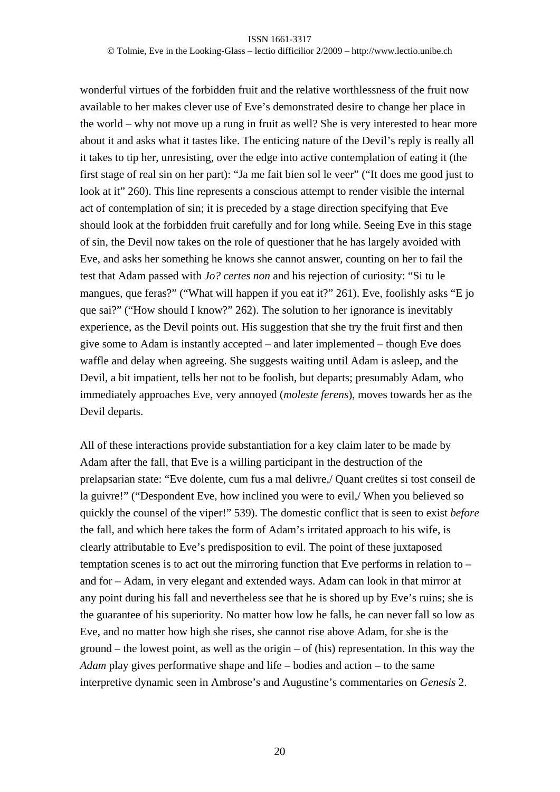Tolmie, Eve in the Looking-Glass – lectio difficilior 2/2009 – http://www.lectio.unibe.ch

wonderful virtues of the forbidden fruit and the relative worthlessness of the fruit now available to her makes clever use of Eve's demonstrated desire to change her place in the world – why not move up a rung in fruit as well? She is very interested to hear more about it and asks what it tastes like. The enticing nature of the Devil's reply is really all it takes to tip her, unresisting, over the edge into active contemplation of eating it (the first stage of real sin on her part): "Ja me fait bien sol le veer" ("It does me good just to look at it" 260). This line represents a conscious attempt to render visible the internal act of contemplation of sin; it is preceded by a stage direction specifying that Eve should look at the forbidden fruit carefully and for long while. Seeing Eve in this stage of sin, the Devil now takes on the role of questioner that he has largely avoided with Eve, and asks her something he knows she cannot answer, counting on her to fail the test that Adam passed with *Jo? certes non* and his rejection of curiosity: "Si tu le mangues, que feras?" ("What will happen if you eat it?" 261). Eve, foolishly asks "E jo que sai?" ("How should I know?" 262). The solution to her ignorance is inevitably experience, as the Devil points out. His suggestion that she try the fruit first and then give some to Adam is instantly accepted – and later implemented – though Eve does waffle and delay when agreeing. She suggests waiting until Adam is asleep, and the Devil, a bit impatient, tells her not to be foolish, but departs; presumably Adam, who immediately approaches Eve, very annoyed (*moleste ferens*), moves towards her as the Devil departs.

All of these interactions provide substantiation for a key claim later to be made by Adam after the fall, that Eve is a willing participant in the destruction of the prelapsarian state: "Eve dolente, cum fus a mal delivre,/ Quant creütes si tost conseil de la guivre!" ("Despondent Eve, how inclined you were to evil,/ When you believed so quickly the counsel of the viper!" 539). The domestic conflict that is seen to exist *before* the fall, and which here takes the form of Adam's irritated approach to his wife, is clearly attributable to Eve's predisposition to evil. The point of these juxtaposed temptation scenes is to act out the mirroring function that Eve performs in relation to – and for – Adam, in very elegant and extended ways. Adam can look in that mirror at any point during his fall and nevertheless see that he is shored up by Eve's ruins; she is the guarantee of his superiority. No matter how low he falls, he can never fall so low as Eve, and no matter how high she rises, she cannot rise above Adam, for she is the ground – the lowest point, as well as the origin – of (his) representation. In this way the *Adam* play gives performative shape and life – bodies and action – to the same interpretive dynamic seen in Ambrose's and Augustine's commentaries on *Genesis* 2.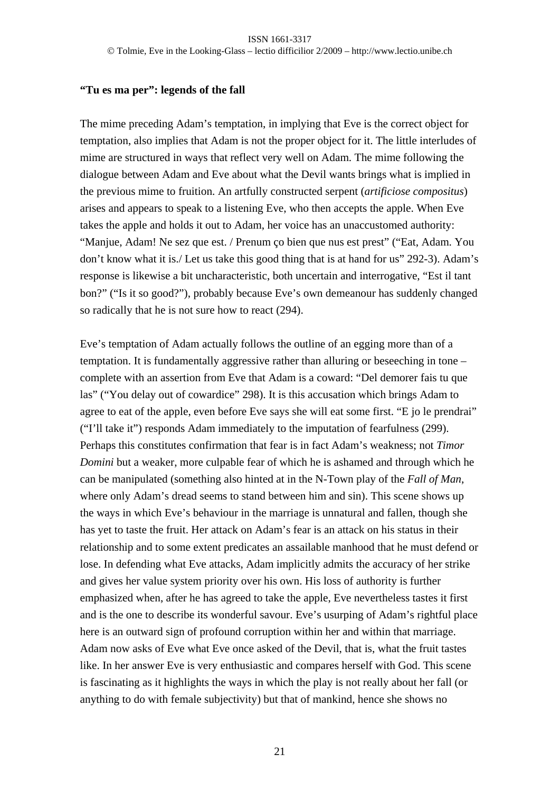## **"Tu es ma per": legends of the fall**

The mime preceding Adam's temptation, in implying that Eve is the correct object for temptation, also implies that Adam is not the proper object for it. The little interludes of mime are structured in ways that reflect very well on Adam. The mime following the dialogue between Adam and Eve about what the Devil wants brings what is implied in the previous mime to fruition. An artfully constructed serpent (*artificiose compositus*) arises and appears to speak to a listening Eve, who then accepts the apple. When Eve takes the apple and holds it out to Adam, her voice has an unaccustomed authority: "Manjue, Adam! Ne sez que est. / Prenum ço bien que nus est prest" ("Eat, Adam. You don't know what it is./ Let us take this good thing that is at hand for us" 292-3). Adam's response is likewise a bit uncharacteristic, both uncertain and interrogative, "Est il tant bon?" ("Is it so good?"), probably because Eve's own demeanour has suddenly changed so radically that he is not sure how to react (294).

Eve's temptation of Adam actually follows the outline of an egging more than of a temptation. It is fundamentally aggressive rather than alluring or beseeching in tone – complete with an assertion from Eve that Adam is a coward: "Del demorer fais tu que las" ("You delay out of cowardice" 298). It is this accusation which brings Adam to agree to eat of the apple, even before Eve says she will eat some first. "E jo le prendrai" ("I'll take it") responds Adam immediately to the imputation of fearfulness (299). Perhaps this constitutes confirmation that fear is in fact Adam's weakness; not *Timor Domini* but a weaker, more culpable fear of which he is ashamed and through which he can be manipulated (something also hinted at in the N-Town play of the *Fall of Man*, where only Adam's dread seems to stand between him and sin). This scene shows up the ways in which Eve's behaviour in the marriage is unnatural and fallen, though she has yet to taste the fruit. Her attack on Adam's fear is an attack on his status in their relationship and to some extent predicates an assailable manhood that he must defend or lose. In defending what Eve attacks, Adam implicitly admits the accuracy of her strike and gives her value system priority over his own. His loss of authority is further emphasized when, after he has agreed to take the apple, Eve nevertheless tastes it first and is the one to describe its wonderful savour. Eve's usurping of Adam's rightful place here is an outward sign of profound corruption within her and within that marriage. Adam now asks of Eve what Eve once asked of the Devil, that is, what the fruit tastes like. In her answer Eve is very enthusiastic and compares herself with God. This scene is fascinating as it highlights the ways in which the play is not really about her fall (or anything to do with female subjectivity) but that of mankind, hence she shows no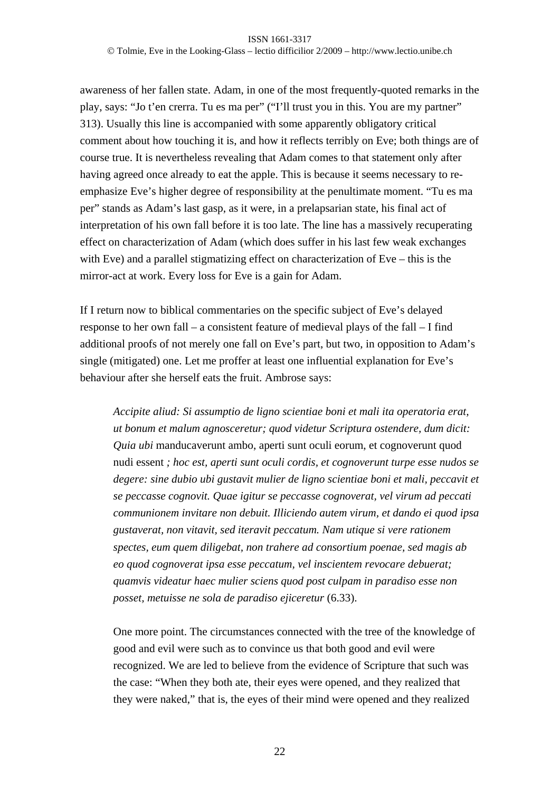### ISSN 1661-3317 Tolmie, Eve in the Looking-Glass – lectio difficilior 2/2009 – http://www.lectio.unibe.ch

awareness of her fallen state. Adam, in one of the most frequently-quoted remarks in the play, says: "Jo t'en crerra. Tu es ma per" ("I'll trust you in this. You are my partner" 313). Usually this line is accompanied with some apparently obligatory critical comment about how touching it is, and how it reflects terribly on Eve; both things are of course true. It is nevertheless revealing that Adam comes to that statement only after having agreed once already to eat the apple. This is because it seems necessary to reemphasize Eve's higher degree of responsibility at the penultimate moment. "Tu es ma per" stands as Adam's last gasp, as it were, in a prelapsarian state, his final act of interpretation of his own fall before it is too late. The line has a massively recuperating effect on characterization of Adam (which does suffer in his last few weak exchanges with Eve) and a parallel stigmatizing effect on characterization of Eve – this is the mirror-act at work. Every loss for Eve is a gain for Adam.

If I return now to biblical commentaries on the specific subject of Eve's delayed response to her own fall – a consistent feature of medieval plays of the fall – I find additional proofs of not merely one fall on Eve's part, but two, in opposition to Adam's single (mitigated) one. Let me proffer at least one influential explanation for Eve's behaviour after she herself eats the fruit. Ambrose says:

*Accipite aliud: Si assumptio de ligno scientiae boni et mali ita operatoria erat, ut bonum et malum agnosceretur; quod videtur Scriptura ostendere, dum dicit: Quia ubi* manducaverunt ambo, aperti sunt oculi eorum, et cognoverunt quod nudi essent *; hoc est, aperti sunt oculi cordis, et cognoverunt turpe esse nudos se degere: sine dubio ubi gustavit mulier de ligno scientiae boni et mali, peccavit et se peccasse cognovit. Quae igitur se peccasse cognoverat, vel virum ad peccati communionem invitare non debuit. Illiciendo autem virum, et dando ei quod ipsa gustaverat, non vitavit, sed iteravit peccatum. Nam utique si vere rationem spectes, eum quem diligebat, non trahere ad consortium poenae, sed magis ab eo quod cognoverat ipsa esse peccatum, vel inscientem revocare debuerat; quamvis videatur haec mulier sciens quod post culpam in paradiso esse non posset, metuisse ne sola de paradiso ejiceretur* (6.33).

One more point. The circumstances connected with the tree of the knowledge of good and evil were such as to convince us that both good and evil were recognized. We are led to believe from the evidence of Scripture that such was the case: "When they both ate, their eyes were opened, and they realized that they were naked," that is, the eyes of their mind were opened and they realized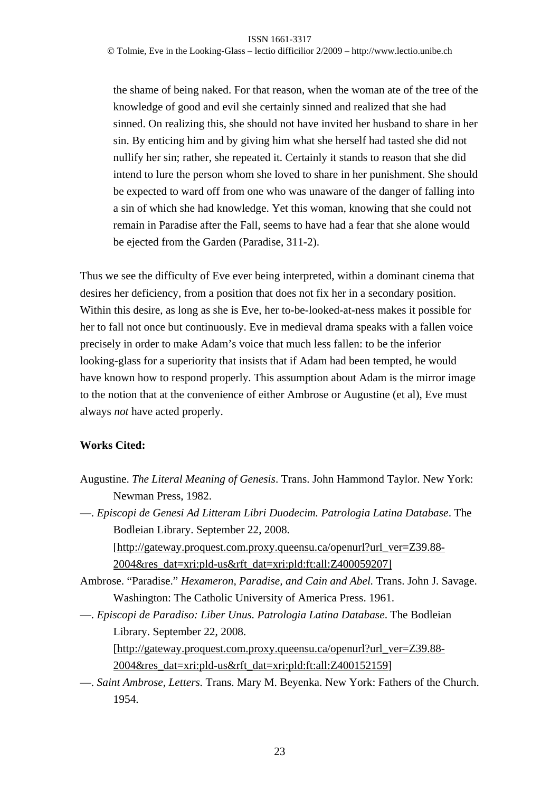Tolmie, Eve in the Looking-Glass – lectio difficilior 2/2009 – http://www.lectio.unibe.ch

the shame of being naked. For that reason, when the woman ate of the tree of the knowledge of good and evil she certainly sinned and realized that she had sinned. On realizing this, she should not have invited her husband to share in her sin. By enticing him and by giving him what she herself had tasted she did not nullify her sin; rather, she repeated it. Certainly it stands to reason that she did intend to lure the person whom she loved to share in her punishment. She should be expected to ward off from one who was unaware of the danger of falling into a sin of which she had knowledge. Yet this woman, knowing that she could not remain in Paradise after the Fall, seems to have had a fear that she alone would be ejected from the Garden (Paradise, 311-2).

Thus we see the difficulty of Eve ever being interpreted, within a dominant cinema that desires her deficiency, from a position that does not fix her in a secondary position. Within this desire, as long as she is Eve, her to-be-looked-at-ness makes it possible for her to fall not once but continuously. Eve in medieval drama speaks with a fallen voice precisely in order to make Adam's voice that much less fallen: to be the inferior looking-glass for a superiority that insists that if Adam had been tempted, he would have known how to respond properly. This assumption about Adam is the mirror image to the notion that at the convenience of either Ambrose or Augustine (et al), Eve must always *not* have acted properly.

## **Works Cited:**

- Augustine. *The Literal Meaning of Genesis*. Trans. John Hammond Taylor. New York: Newman Press, 1982.
- —. *Episcopi de Genesi Ad Litteram Libri Duodecim. Patrologia Latina Database*. The Bodleian Library. September 22, 2008. [http://gateway.proquest.com.proxy.queensu.ca/openurl?url\_ver=Z39.88- 2004&res\_dat=xri:pld-us&rft\_dat=xri:pld:ft:all:Z400059207]
- Ambrose. "Paradise." *Hexameron, Paradise, and Cain and Abel.* Trans. John J. Savage. Washington: The Catholic University of America Press. 1961.
- —. *Episcopi de Paradiso: Liber Unus. Patrologia Latina Database*. The Bodleian Library. September 22, 2008.

[http://gateway.proquest.com.proxy.queensu.ca/openurl?url\_ver=Z39.88- 2004&res\_dat=xri:pld-us&rft\_dat=xri:pld:ft:all:Z400152159]

—. *Saint Ambrose, Letters.* Trans. Mary M. Beyenka. New York: Fathers of the Church. 1954.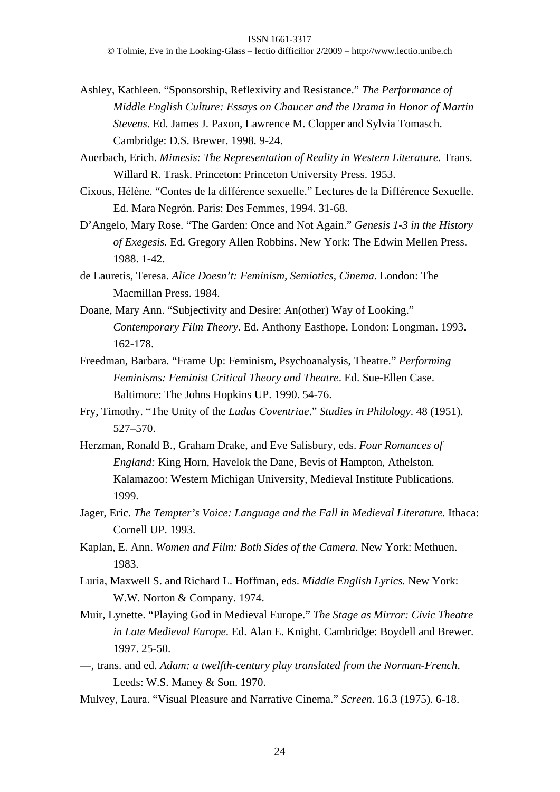Tolmie, Eve in the Looking-Glass – lectio difficilior 2/2009 – http://www.lectio.unibe.ch

- Ashley, Kathleen. "Sponsorship, Reflexivity and Resistance." *The Performance of Middle English Culture: Essays on Chaucer and the Drama in Honor of Martin Stevens*. Ed. James J. Paxon, Lawrence M. Clopper and Sylvia Tomasch. Cambridge: D.S. Brewer. 1998. 9-24.
- Auerbach, Erich. *Mimesis: The Representation of Reality in Western Literature.* Trans. Willard R. Trask. Princeton: Princeton University Press. 1953.
- Cixous, Hélène. "Contes de la différence sexuelle." Lectures de la Différence Sexuelle. Ed. Mara Negrón. Paris: Des Femmes, 1994. 31-68.
- D'Angelo, Mary Rose. "The Garden: Once and Not Again." *Genesis 1-3 in the History of Exegesis.* Ed. Gregory Allen Robbins. New York: The Edwin Mellen Press. 1988. 1-42.
- de Lauretis, Teresa. *Alice Doesn't: Feminism, Semiotics, Cinema.* London: The Macmillan Press. 1984.
- Doane, Mary Ann. "Subjectivity and Desire: An(other) Way of Looking." *Contemporary Film Theory*. Ed. Anthony Easthope. London: Longman. 1993. 162-178.
- Freedman, Barbara. "Frame Up: Feminism, Psychoanalysis, Theatre." *Performing Feminisms: Feminist Critical Theory and Theatre*. Ed. Sue-Ellen Case. Baltimore: The Johns Hopkins UP. 1990. 54-76.
- Fry, Timothy. "The Unity of the *Ludus Coventriae*." *Studies in Philology*. 48 (1951). 527–570.
- Herzman, Ronald B., Graham Drake, and Eve Salisbury, eds. *Four Romances of England:* King Horn, Havelok the Dane, Bevis of Hampton, Athelston*.*  Kalamazoo: Western Michigan University, Medieval Institute Publications. 1999.
- Jager, Eric. *The Tempter's Voice: Language and the Fall in Medieval Literature.* Ithaca: Cornell UP. 1993.
- Kaplan, E. Ann. *Women and Film: Both Sides of the Camera*. New York: Methuen. 1983.
- Luria, Maxwell S. and Richard L. Hoffman, eds. *Middle English Lyrics.* New York: W.W. Norton & Company. 1974.
- Muir, Lynette. "Playing God in Medieval Europe." *The Stage as Mirror: Civic Theatre in Late Medieval Europe*. Ed. Alan E. Knight. Cambridge: Boydell and Brewer. 1997. 25-50.
- —, trans. and ed. *Adam: a twelfth-century play translated from the Norman-French*. Leeds: W.S. Maney & Son. 1970.
- Mulvey, Laura. "Visual Pleasure and Narrative Cinema." *Screen*. 16.3 (1975). 6-18.